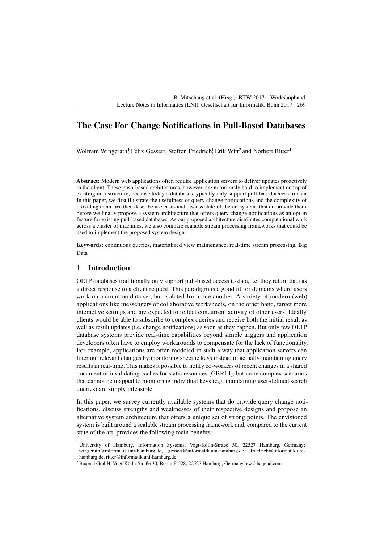# The Case For Change Notifications in Pull-Based Databases

Wolfram Wingerath<sup>1</sup> Felix Gessert<sup>1</sup> Steffen Friedrich<sup>1</sup> Erik Witt<sup>2</sup> and Norbert Ritter<sup>1</sup>

Abstract: Modern web applications often require application servers to deliver updates proactively to the client. These push-based architectures, however, are notoriously hard to implement on top of existing infrastructure, because today's databases typically only support pull-based access to data. In this paper, we first illustrate the usefulness of query change notifications and the complexity of providing them. We then describe use cases and discuss state-of-the-art systems that do provide them, before we finally propose a system architecture that offers query change notifications as an opt-in feature for existing pull-based databases. As our proposed architecture distributes computational work across a cluster of machines, we also compare scalable stream processing frameworks that could be used to implement the proposed system design.

Keywords: continuous queries, materialized view maintenance, real-time stream processing, Big Data

# 1 Introduction

OLTP databases traditionally only support pull-based access to data, i.e. they return data as a direct response to a client request. This paradigm is a good fit for domains where users work on a common data set, but isolated from one another. A variety of modern (web) applications like messengers or collaborative worksheets, on the other hand, target more interactive settings and are expected to reflect concurrent activity of other users. Ideally, clients would be able to subscribe to complex queries and receive both the initial result as well as result updates (i.e. change notifications) as soon as they happen. But only few OLTP database systems provide real-time capabilities beyond simple triggers and application developers often have to employ workarounds to compensate for the lack of functionality. For example, applications are often modeled in such a way that application servers can filter out relevant changes by monitoring specific keys instead of actually maintaining query results in real-time. This makes it possible to notify co-workers of recent changes in a shared document or invalidating caches for static resources [\[GBR14\]](#page-8-0), but more complex scenarios that cannot be mapped to monitoring individual keys (e.g. maintaining user-defined search queries) are simply infeasible.

In this paper, we survey currently available systems that do provide query change notifications, discuss strengths and weaknesses of their respective designs and propose an alternative system architecture that offers a unique set of strong points. The envisioned system is built around a scalable stream processing framework and, compared to the current state of the art, provides the following main benefits:

<sup>&</sup>lt;sup>1</sup> University of Hamburg, Information Systems, Vogt-Kölln-Straße 30, 22527 Hamburg, Germany: [wingerath@informatik.uni-hamburg.de,](mailto:wingerath@informatik.uni-hamburg.de) [gessert@informatik.uni-hamburg.de,](mailto:gessert@informatik.uni-hamburg.de) [friedrich@informatik.uni](mailto:friedrich@informatik.uni-hamburg.de)[hamburg.de,](mailto:friedrich@informatik.uni-hamburg.de) [ritter@informatik.uni-hamburg.de](mailto:ritter@informatik.uni-hamburg.de)

<sup>2</sup> Baqend GmbH, Vogt-Kölln-Straße 30, Room F-528, 22527 Hamburg, Germany: [ew@baqend.com](mailto:ew@baqend.com)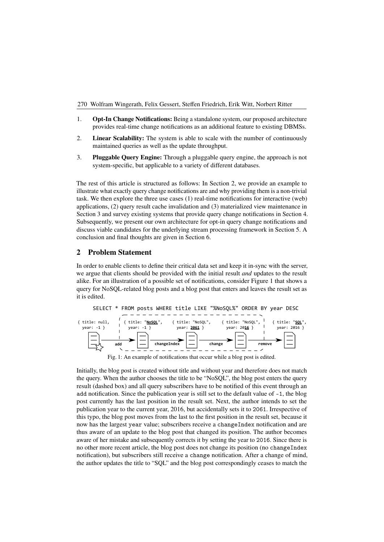- 1. Opt-In Change Notifications: Being a standalone system, our proposed architecture provides real-time change notifications as an additional feature to existing DBMSs.
- 2. **Linear Scalability:** The system is able to scale with the number of continuously maintained queries as well as the update throughput.
- 3. Pluggable Query Engine: Through a pluggable query engine, the approach is not system-specific, but applicable to a variety of different databases.

The rest of this article is structured as follows: In Section 2, we provide an example to illustrate what exactly query change notifications are and why [pr](#page-1-0)oviding them is a non-trivial task. We then explore the three use cases (1) real-time notifications for interactive (web) applications, (2) query result cache invalidation and (3) materialized view maintenance in Section 3 and survey existing systems that provide query change notifications in Section 4. Subseq[uen](#page-2-0)tly, we present our own architecture for opt-in query change notifications a[nd](#page-2-1) discuss viable candidates for the underlying stream processing framework in Section [5.](#page-4-0) A conclusion and final thoughts are given in Section [6.](#page-6-0)

### <span id="page-1-0"></span>2 Problem Statement

In order to enable clients to define their critical data set and keep it in-sync with the server, we argue that clients should be provided with the initial result *and* updates to the result alike. For an illustration of a possible set of notifications, consider Figure [1](#page-1-1) that shows a query for NoSQL-related blog posts and a blog post that enters and leaves the result set as it is edited.

<span id="page-1-1"></span>

Fig. 1: An example of notifications that occur while a blog post is edited.

Initially, the blog post is created without title and without year and therefore does not match the query. When the author chooses the title to be "NoSQL", the blog post enters the query result (dashed box) and all query subscribers have to be notified of this event through an add notification. Since the publication year is still set to the default value of -1, the blog post currently has the last position in the result set. Next, the author intends to set the publication year to the current year, 2016, but accidentally sets it to 2061. Irrespective of this typo, the blog post moves from the last to the first position in the result set, because it now has the largest year value; subscribers receive a changeIndex notification and are thus aware of an update to the blog post that changed its position. The author becomes aware of her mistake and subsequently corrects it by setting the year to 2016. Since there is no other more recent article, the blog post does not change its position (no changeIndex notification), but subscribers still receive a change notification. After a change of mind, the author updates the title to "SQL" and the blog post correspondingly ceases to match the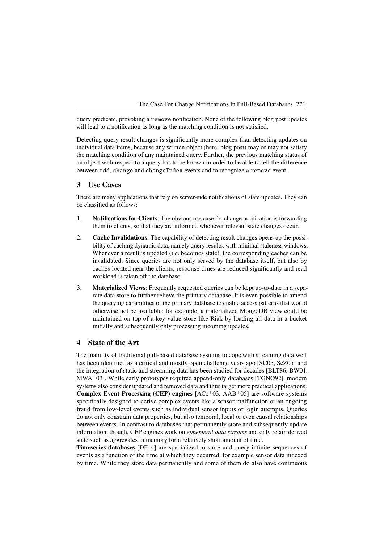query predicate, provoking a remove notification. None of the following blog post updates will lead to a notification as long as the matching condition is not satisfied.

Detecting query result changes is significantly more complex than detecting updates on individual data items, because any written object (here: blog post) may or may not satisfy the matching condition of any maintained query. Further, the previous matching status of an object with respect to a query has to be known in order to be able to tell the difference between add, change and changeIndex events and to recognize a remove event.

## <span id="page-2-0"></span>3 Use Cases

There are many applications that rely on server-side notifications of state updates. They can be classified as follows:

- 1. Notifications for Clients: The obvious use case for change notification is forwarding them to clients, so that they are informed whenever relevant state changes occur.
- 2. Cache Invalidations: The capability of detecting result changes opens up the possibility of caching dynamic data, namely query results, with minimal staleness windows. Whenever a result is updated (i.e. becomes stale), the corresponding caches can be invalidated. Since queries are not only served by the database itself, but also by caches located near the clients, response times are reduced significantly and read workload is taken off the database.
- 3. Materialized Views: Frequently requested queries can be kept up-to-date in a separate data store to further relieve the primary database. It is even possible to amend the querying capabilities of the primary database to enable access patterns that would otherwise not be available: for example, a materialized MongoDB view could be maintained on top of a key-value store like Riak by loading all data in a bucket initially and subsequently only processing incoming updates.

### <span id="page-2-1"></span>4 State of the Art

The inability of traditional pull-based database systems to cope with streaming data well has been identified as a critical and mostly open challenge years ago [\[SC05,](#page-9-0) [ScZ05\]](#page-9-1) and the integration of static and streaming data has been studied for decades [\[BLT86,](#page-7-0) [BW01,](#page-7-1)  $MWA<sup>+</sup>03$  $MWA<sup>+</sup>03$ ]. While early prototypes required append-only databases [\[TGNO92\]](#page-9-2), modern systems also consider updated and removed data and thus target more practical applications. **Complex Event Processing (CEP) engines**  $[ACC^+03, AAB^+05]$  $[ACC^+03, AAB^+05]$  $[ACC^+03, AAB^+05]$  are software systems specifically designed to derive complex events like a sensor malfunction or an ongoing fraud from low-level events such as individual sensor inputs or login attempts. Queries do not only constrain data properties, but also temporal, local or even causal relationships between events. In contrast to databases that permanently store and subsequently update information, though, CEP engines work on *ephemeral data streams* and only retain derived state such as aggregates in memory for a relatively short amount of time.

Timeseries databases [\[DF14\]](#page-7-4) are specialized to store and query infinite sequences of events as a function of the time at which they occurred, for example sensor data indexed by time. While they store data permanently and some of them do also have continuous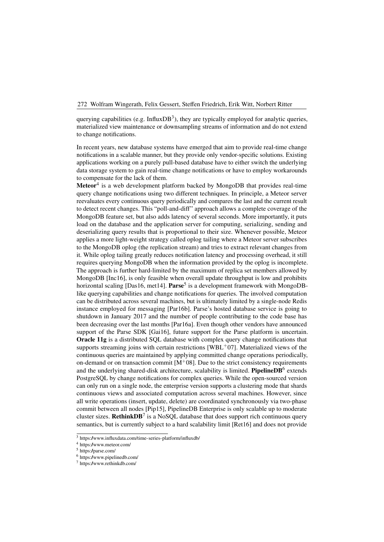querying capabilities (e.g. InfluxDB<sup>3</sup>), they are typically employed for analytic queries, materialized view maintenance or do[wn](#page-3-0)sampling streams of information and do not extend to change notifications.

In recent years, new database systems have emerged that aim to provide real-time change notifications in a scalable manner, but they provide only vendor-specific solutions. Existing applications working on a purely pull-based database have to either switch the underlying data storage system to gain real-time change notifications or have to employ workarounds to compensate for the lack of them.

**Meteor**<sup>4</sup> is a web development platform backed by MongoDB that provides real-time query [cha](#page-3-1)nge notifications using two different techniques. In principle, a Meteor server reevaluates every continuous query periodically and compares the last and the current result to detect recent changes. This "poll-and-diff" approach allows a complete coverage of the MongoDB feature set, but also adds latency of several seconds. More importantly, it puts load on the database and the application server for computing, serializing, sending and deserializing query results that is proportional to their size. Whenever possible, Meteor applies a more light-weight strategy called oplog tailing where a Meteor server subscribes to the MongoDB oplog (the replication stream) and tries to extract relevant changes from it. While oplog tailing greatly reduces notification latency and processing overhead, it still requires querying MongoDB when the information provided by the oplog is incomplete. The approach is further hard-limited by the maximum of replica set members allowed by MongoDB [\[Inc16\]](#page-8-2), is only feasible when overall update throughput is low and prohibits horizontal scaling [\[Das16,](#page-7-5) [met14\]](#page-8-3). Parse<sup>5</sup> is a development framework with MongoDBlike querying capabilities and change no[tifi](#page-3-2)cations for queries. The involved computation can be distributed across several machines, but is ultimately limited by a single-node Redis instance employed for messaging [\[Par16b\]](#page-9-3). Parse's hosted database service is going to shutdown in January 2017 and the number of people contributing to the code base has been decreasing over the last months [\[Par16a\]](#page-9-4). Even though other vendors have announced support of the Parse SDK [\[Gai16\]](#page-8-4), future support for the Parse platform is uncertain. Oracle 11g is a distributed SQL database with complex query change notifications that supports streaming joins with certain restrictions [\[WBL](#page-9-5)+07]. Materialized views of the continuous queries are maintained by applying committed change operations periodically, on-demand or on transaction commit  $[M^+08]$  $[M^+08]$ . Due to the strict consistency requirements and the underlying shared-disk architecture, scalability is limited. **PipelineDB**<sup>6</sup> extends PostgreSQL by change notifications for complex queries. While the open-sourc[ed](#page-3-3) version can only run on a single node, the enterprise version supports a clustering mode that shards continuous views and associated computation across several machines. However, since all write operations (insert, update, delete) are coordinated synchronously via two-phase commit between all nodes [\[Pip15\]](#page-9-6), PipelineDB Enterprise is only scalable up to moderate cluster sizes. Rethink $DB^7$  $DB^7$  is a NoSQL database that does support rich continuous query semantics, but is currently subject to a hard scalability limit [\[Ret16\]](#page-9-7) and does not provide

<span id="page-3-0"></span><sup>3</sup> <https://www.influxdata.com/time-series-platform/influxdb/>

<span id="page-3-1"></span><sup>4</sup> <https://www.meteor.com/>

<span id="page-3-2"></span><sup>5</sup> <https://parse.com/>

<span id="page-3-3"></span><sup>6</sup> <https://www.pipelinedb.com/>

<span id="page-3-4"></span><sup>7</sup> <https://www.rethinkdb.com/>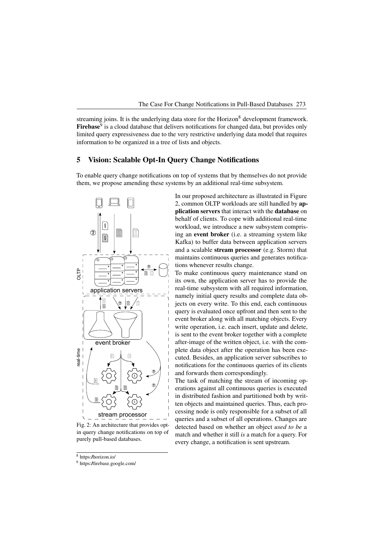streaming joins. It is the underlying data store for the Horizon<sup>8</sup> development framework. **Firebase**<sup>9</sup> is a cloud database that delivers notifications for cha[nge](#page-4-1)d data, but provides only limited [que](#page-4-2)ry expressiveness due to the very restrictive underlying data model that requires information to be organized in a tree of lists and objects.

# <span id="page-4-0"></span>5 Vision: Scalable Opt-In Query Change Notifications

To enable query change notifications on top of systems that by themselves do not provide them, we propose amending these systems by an additional real-time subsystem.



<span id="page-4-3"></span>Fig. 2: An architecture that provides optin query change notifications on top of purely pull-based databases.

In our proposed architecture as illustrated in Figure [2,](#page-4-3) common OLTP workloads are still handled by application servers that interact with the database on behalf of clients. To cope with additional real-time workload, we introduce a new subsystem comprising an event broker (i.e. a streaming system like Kafka) to buffer data between application servers and a scalable stream processor (e.g. Storm) that maintains continuous queries and generates notifications whenever results change.

To make continuous query maintenance stand on its own, the application server has to provide the real-time subsystem with all required information, namely initial query results and complete data objects on every write. To this end, each continuous query is evaluated once upfront and then sent to the event broker along with all matching objects. Every write operation, i.e. each insert, update and delete, is sent to the event broker together with a complete after-image of the written object, i.e. with the complete data object after the operation has been executed. Besides, an application server subscribes to notifications for the continuous queries of its clients and forwards them correspondingly.

The task of matching the stream of incoming operations against all continuous queries is executed in distributed fashion and partitioned both by written objects and maintained queries. Thus, each processing node is only responsible for a subset of all queries and a subset of all operations. Changes are detected based on whether an object *used to be* a match and whether it still *is* a match for a query. For every change, a notification is sent upstream.

<span id="page-4-1"></span><sup>8</sup> <https://horizon.io/>

<span id="page-4-2"></span><sup>9</sup> <https://firebase.google.com/>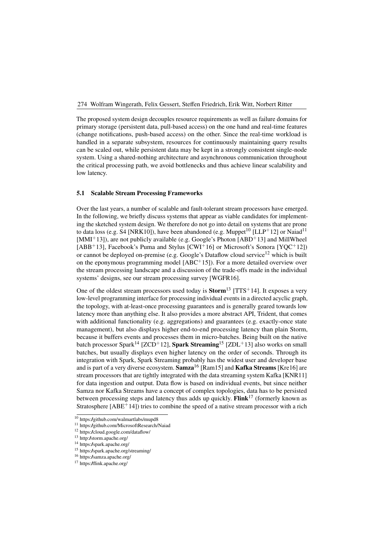The proposed system design decouples resource requirements as well as failure domains for primary storage (persistent data, pull-based access) on the one hand and real-time features (change notifications, push-based access) on the other. Since the real-time workload is handled in a separate subsystem, resources for continuously maintaining query results can be scaled out, while persistent data may be kept in a strongly consistent single-node system. Using a shared-nothing architecture and asynchronous communication throughout the critical processing path, we avoid bottlenecks and thus achieve linear scalability and low latency.

## 5.1 Scalable Stream Processing Frameworks

Over the last years, a number of scalable and fault-tolerant stream processors have emerged. In the following, we briefly discuss systems that appear as viable candidates for implementing the sketched system design. We therefore do not go into detail on systems that are prone to data loss (e.g. S4 [\[NRK10\]](#page-9-8)), have been abandoned (e.g. Muppet<sup>10</sup> [\[LLP](#page-8-6)<sup>+</sup>12] or Naiad<sup>11</sup>  $[MMI<sup>+</sup>13]$  $[MMI<sup>+</sup>13]$ ), are not publicly available (e.g. Google's Photon  $[ABD<sup>+</sup>13]$  and MillWheel [\[ABB](#page-7-7)<sup>+</sup>13], Facebook's Puma and Stylus [\[CWI](#page-7-8)<sup>+</sup>16] or Microsoft's Sonora [YQC<sup>+</sup>12]) or cannot be deployed on-premise (e.g. Google's Dataflow cloud service<sup>12</sup> w[hich](#page-9-9) [is](#page-9-9) [buil](#page-9-9)t on the eponymous programming model  $[ABC^+15]$ ). For a more detailed overview over the stream processing landscape and a discussion of the trade-offs made in the individual systems' designs, see our stream processing survey [\[WGFR16\]](#page-9-10).

One of the oldest stream processors used today is  $Storm<sup>13</sup>$  [\[TTS](#page-9-11)<sup>+</sup>14]. It exposes a very low-level programming interface for processing individual [eve](#page-5-3)nts in a directed acyclic graph, the topology, with at-least-once processing guarantees and is generally geared towards low latency more than anything else. It also provides a more abstract API, Trident, that comes with additional functionality (e.g. aggregations) and guarantees (e.g. exactly-once state management), but also displays higher end-to-end processing latency than plain Storm, because it buffers events and processes them in micro-batches. Being built on the native batch processor Spark<sup>[14](#page-5-4)</sup> [\[ZCD](#page-9-12)<sup>+</sup>12], **Spark Streaming**<sup>[15](#page-5-5)</sup> [\[ZDL](#page-9-13)<sup>+</sup>13] also works on small batches, but usually displays even higher latency on the order of seconds. Through its integration with Spark, Spark Streaming probably has the widest user and developer base and is part of a very diverse ecosystem. Samza<sup>[16](#page-5-6)</sup> [\[Ram15\]](#page-9-14) and **Kafka Streams** [\[Kre16\]](#page-8-8) are stream processors that are tightly integrated with the data streaming system Kafka [\[KNR11\]](#page-8-9) for data ingestion and output. Data flow is based on individual events, but since neither Samza nor Kafka Streams have a concept of complex topologies, data has to be persisted between processing steps and latency thus adds up quickly. Flink<sup>[17](#page-5-7)</sup> (formerly known as Stratosphere  $[ABE^+14]$ ) tries to combine the speed of a native stream processor with a rich

<span id="page-5-0"></span><sup>&</sup>lt;sup>10</sup> <https://github.com/walmartlabs/mupd8>

<span id="page-5-1"></span><sup>11</sup> <https://github.com/MicrosoftResearch/Naiad>

<span id="page-5-2"></span><sup>12</sup> <https://cloud.google.com/dataflow/>

<span id="page-5-3"></span><sup>13</sup> <http://storm.apache.org/>

<span id="page-5-4"></span><sup>14</sup> <https://spark.apache.org/>

<span id="page-5-5"></span><sup>15</sup> <https://spark.apache.org/streaming/>

<span id="page-5-6"></span><sup>16</sup> <https://samza.apache.org/>

<span id="page-5-7"></span><sup>17</sup> <https://flink.apache.org/>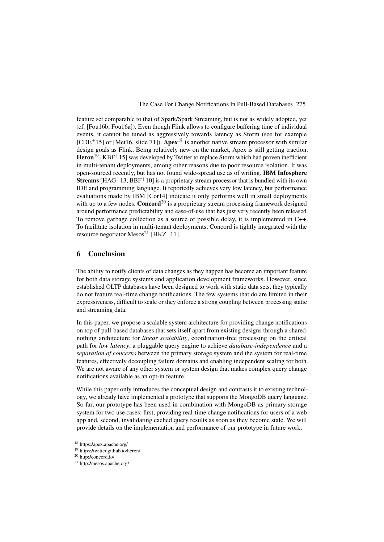feature set comparable to that of Spark/Spark Streaming, but is not as widely adopted, yet (cf. [Fou16b, Fou16a]). Even though Flink allows to configure buffering time of individual eve[nts,](#page-8-10) [it](#page-8-10) [ca](#page-8-10)[nnot](#page-8-11) [be](#page-8-11) [t](#page-8-11)uned as aggressively towards latency as Storm (see for example  $[CDE<sup>+</sup>15]$  or [Met16, slide 71]). Apex<sup>18</sup> is another native stream processor with similar [design](#page-7-11) [goa](#page-7-11)ls [as](#page-8-12) [Flink.](#page-8-12) Being relativel[y](#page-6-1) [ne](#page-6-1)w on the market, Apex is still getting traction.  $\text{Heron}^{19}$  [KBF<sup>+</sup>15] was developed by Twitter to replace Storm which had proven inefficient in mu[lti-t](#page-6-2)[enant](#page-8-13) [dep](#page-8-13)loyments, among other reasons due to poor resource isolation. It was open-sourced recently, but has not found wide-spread use as of writing. IBM Infosphere **Streams** [HAG<sup>+</sup>13, BBF<sup>+10]</sup> is a proprietary stream processor that is bundled with its own IDE and [programmi](#page-8-14)[ng](#page-7-12) [languag](#page-7-12)e. It reportedly achieves very low latency, but performance evaluations made by IBM [\[Cor14\]](#page-7-13) indicate it only performs well in small deployments with up to a few nodes. Concord<sup>20</sup> is a proprietary stream processing framework designed around performance predictabilit[y](#page-6-3) [an](#page-6-3)d ease-of-use that has just very recently been released. To remove garbage collection as a source of possible delay, it is implemented in C++. To facilitate isolation in multi-tenant deployments, Concord is tightly integrated with the resource negotiator Mesos<sup>21</sup> [\[HKZ](#page-8-15)<sup>+</sup>11].

# <span id="page-6-0"></span>6 Conclusion

The ability to notify clients of data changes as they happen has become an important feature for both data storage systems and application development frameworks. However, since established OLTP databases have been designed to work with static data sets, they typically do not feature real-time change notifications. The few systems that do are limited in their expressiveness, difficult to scale or they enforce a strong coupling between processing static and streaming data.

In this paper, we propose a scalable system architecture for providing change notifications on top of pull-based databases that sets itself apart from existing designs through a sharednothing architecture for *linear scalability*, coordination-free processing on the critical path for *low latency*, a pluggable query engine to achieve *database-independence* and a *separation of concerns* between the primary storage system and the system for real-time features, effectively decoupling failure domains and enabling independent scaling for both. We are not aware of any other system or system design that makes complex query change notifications available as an opt-in feature.

While this paper only introduces the conceptual design and contrasts it to existing technology, we already have implemented a prototype that supports the MongoDB query language. So far, our prototype has been used in combination with MongoDB as primary storage system for two use cases: first, providing real-time change notifications for users of a web app and, second, invalidating cached query results as soon as they become stale. We will provide details on the implementation and performance of our prototype in future work.

<span id="page-6-1"></span><sup>18</sup> <https://apex.apache.org/>

<span id="page-6-2"></span><sup>19</sup> <https://twitter.github.io/heron/>

<span id="page-6-3"></span><sup>20</sup> <http://concord.io/>

<span id="page-6-4"></span><sup>21</sup> <http://mesos.apache.org/>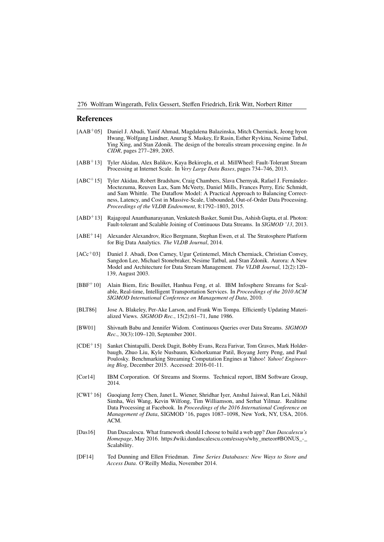#### 276 Wolfram Wingerath, Felix Gessert, Steffen Friedrich, Erik Witt, Norbert Ritter

#### References

- <span id="page-7-3"></span>[AAB+05] Daniel J. Abadi, Yanif Ahmad, Magdalena Balazinska, Mitch Cherniack, Jeong hyon Hwang, Wolfgang Lindner, Anurag S. Maskey, Er Rasin, Esther Ryvkina, Nesime Tatbul, Ying Xing, and Stan Zdonik. The design of the borealis stream processing engine. In *In CIDR*, pages 277–289, 2005.
- <span id="page-7-7"></span>[ABB+13] Tyler Akidau, Alex Balikov, Kaya Bekiroglu, et al. MillWheel: Fault-Tolerant Stream Processing at Internet Scale. In *Very Large Data Bases*, pages 734–746, 2013.
- <span id="page-7-9"></span>[ABC+15] Tyler Akidau, Robert Bradshaw, Craig Chambers, Slava Chernyak, Rafael J. Fernández-Moctezuma, Reuven Lax, Sam McVeety, Daniel Mills, Frances Perry, Eric Schmidt, and Sam Whittle. The Dataflow Model: A Practical Approach to Balancing Correctness, Latency, and Cost in Massive-Scale, Unbounded, Out-of-Order Data Processing. *Proceedings of the VLDB Endowment*, 8:1792–1803, 2015.
- <span id="page-7-6"></span>[ABD+13] Rajagopal Ananthanarayanan, Venkatesh Basker, Sumit Das, Ashish Gupta, et al. Photon: Fault-tolerant and Scalable Joining of Continuous Data Streams. In *SIGMOD '13*, 2013.
- <span id="page-7-10"></span>[ABE+14] Alexander Alexandrov, Rico Bergmann, Stephan Ewen, et al. The Stratosphere Platform for Big Data Analytics. *The VLDB Journal*, 2014.
- <span id="page-7-2"></span>[ACc+03] Daniel J. Abadi, Don Carney, Ugur Çetintemel, Mitch Cherniack, Christian Convey, Sangdon Lee, Michael Stonebraker, Nesime Tatbul, and Stan Zdonik. Aurora: A New Model and Architecture for Data Stream Management. *The VLDB Journal*, 12(2):120– 139, August 2003.
- <span id="page-7-12"></span>[BBF+10] Alain Biem, Eric Bouillet, Hanhua Feng, et al. IBM Infosphere Streams for Scalable, Real-time, Intelligent Transportation Services. In *Proceedings of the 2010 ACM SIGMOD International Conference on Management of Data*, 2010.
- <span id="page-7-0"></span>[BLT86] Jose A. Blakeley, Per-Ake Larson, and Frank Wm Tompa. Efficiently Updating Materialized Views. *SIGMOD Rec.*, 15(2):61–71, June 1986.
- <span id="page-7-1"></span>[BW01] Shivnath Babu and Jennifer Widom. Continuous Queries over Data Streams. *SIGMOD Rec.*, 30(3):109–120, September 2001.
- <span id="page-7-11"></span>[CDE+15] Sanket Chintapalli, Derek Dagit, Bobby Evans, Reza Farivar, Tom Graves, Mark Holderbaugh, Zhuo Liu, Kyle Nusbaum, Kishorkumar Patil, Boyang Jerry Peng, and Paul Poulosky. Benchmarking Streaming Computation Engines at Yahoo! *Yahoo! Engineering Blog*, December 2015. Accessed: 2016-01-11.
- <span id="page-7-13"></span>[Cor14] IBM Corporation. Of Streams and Storms. Technical report, IBM Software Group, 2014.
- <span id="page-7-8"></span>[CWI+16] Guoqiang Jerry Chen, Janet L. Wiener, Shridhar Iyer, Anshul Jaiswal, Ran Lei, Nikhil Simha, Wei Wang, Kevin Wilfong, Tim Williamson, and Serhat Yilmaz. Realtime Data Processing at Facebook. In *Proceedings of the 2016 International Conference on Management of Data*, SIGMOD '16, pages 1087–1098, New York, NY, USA, 2016. ACM.
- <span id="page-7-5"></span>[Das16] Dan Dascalescu. What framework should I choose to build a web app? *Dan Dascalescu's Homepage*, May 2016. [https://wiki.dandascalescu.com/essays/why\\_meteor#BONUS\\_-\\_](https://wiki.dandascalescu.com/essays/why_meteor#BONUS_-_Scalability) [Scalability.](https://wiki.dandascalescu.com/essays/why_meteor#BONUS_-_Scalability)
- <span id="page-7-4"></span>[DF14] Ted Dunning and Ellen Friedman. *Time Series Databases: New Ways to Store and Access Data*. O'Reilly Media, November 2014.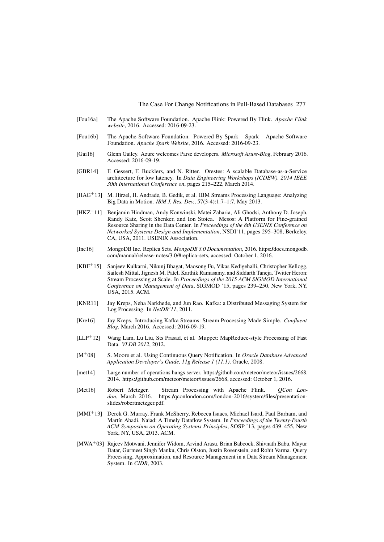- <span id="page-8-11"></span>[Fou16a] The Apache Software Foundation. Apache Flink: Powered By Flink. *Apache Flink website*, 2016. Accessed: 2016-09-23.
- <span id="page-8-10"></span>[Fou16b] The Apache Software Foundation. Powered By Spark – Spark – Apache Software Foundation. *Apache Spark Website*, 2016. Accessed: 2016-09-23.
- <span id="page-8-4"></span>[Gai16] Glenn Gailey. Azure welcomes Parse developers. *Microsoft Azure-Blog*, February 2016. Accessed: 2016-09-19.
- <span id="page-8-0"></span>[GBR14] F. Gessert, F. Bucklers, and N. Ritter. Orestes: A scalable Database-as-a-Service architecture for low latency. In *Data Engineering Workshops (ICDEW), 2014 IEEE 30th International Conference on*, pages 215–222, March 2014.
- <span id="page-8-14"></span>[HAG+13] M. Hirzel, H. Andrade, B. Gedik, et al. IBM Streams Processing Language: Analyzing Big Data in Motion. *IBM J. Res. Dev.*, 57(3-4):1:7–1:7, May 2013.
- <span id="page-8-15"></span>[HKZ+11] Benjamin Hindman, Andy Konwinski, Matei Zaharia, Ali Ghodsi, Anthony D. Joseph, Randy Katz, Scott Shenker, and Ion Stoica. Mesos: A Platform for Fine-grained Resource Sharing in the Data Center. In *Proceedings of the 8th USENIX Conference on Networked Systems Design and Implementation*, NSDI'11, pages 295–308, Berkeley, CA, USA, 2011. USENIX Association.
- <span id="page-8-2"></span>[Inc16] MongoDB Inc. Replica Sets. *MongoDB 3.0 Documentation*, 2016. [https://docs.mongodb.](https://docs.mongodb.com/manual/release-notes/3.0/#replica-sets) [com/manual/release-notes/3.0/#replica-sets,](https://docs.mongodb.com/manual/release-notes/3.0/#replica-sets) accessed: October 1, 2016.
- <span id="page-8-13"></span>[KBF+15] Sanjeev Kulkarni, Nikunj Bhagat, Maosong Fu, Vikas Kedigehalli, Christopher Kellogg, Sailesh Mittal, Jignesh M. Patel, Karthik Ramasamy, and Siddarth Taneja. Twitter Heron: Stream Processing at Scale. In *Proceedings of the 2015 ACM SIGMOD International Conference on Management of Data*, SIGMOD '15, pages 239–250, New York, NY, USA, 2015. ACM.
- <span id="page-8-9"></span>[KNR11] Jay Kreps, Neha Narkhede, and Jun Rao. Kafka: a Distributed Messaging System for Log Processing. In *NetDB'11*, 2011.
- <span id="page-8-8"></span>[Kre16] Jay Kreps. Introducing Kafka Streams: Stream Processing Made Simple. *Confluent Blog*, March 2016. Accessed: 2016-09-19.
- <span id="page-8-6"></span>[LLP+12] Wang Lam, Lu Liu, Sts Prasad, et al. Muppet: MapReduce-style Processing of Fast Data. *VLDB 2012*, 2012.
- <span id="page-8-5"></span>[M+08] S. Moore et al. Using Continuous Query Notification. In *Oracle Database Advanced Application Developer's Guide, 11g Release 1 (11.1)*. Oracle, 2008.
- <span id="page-8-3"></span>[met14] Large number of operations hangs server. [https://github.com/meteor/meteor/issues/2668,](https://github.com/meteor/meteor/issues/2668) 2014. [https://github.com/meteor/meteor/issues/2668,](https://github.com/meteor/meteor/issues/2668) accessed: October 1, 2016.
- <span id="page-8-12"></span>[Met16] Robert Metzger. Stream Processing with Apache Flink. *QCon London*, March 2016. [https://qconlondon.com/london-2016/system/files/presentation](https://qconlondon.com/london-2016/system/files/presentation-slides/robertmetzger.pdf)[slides/robertmetzger.pdf.](https://qconlondon.com/london-2016/system/files/presentation-slides/robertmetzger.pdf)
- <span id="page-8-7"></span>[MMI+13] Derek G. Murray, Frank McSherry, Rebecca Isaacs, Michael Isard, Paul Barham, and Martín Abadi. Naiad: A Timely Dataflow System. In *Proceedings of the Twenty-Fourth ACM Symposium on Operating Systems Principles*, SOSP '13, pages 439–455, New York, NY, USA, 2013. ACM.
- <span id="page-8-1"></span>[MWA+03] Rajeev Motwani, Jennifer Widom, Arvind Arasu, Brian Babcock, Shivnath Babu, Mayur Datar, Gurmeet Singh Manku, Chris Olston, Justin Rosenstein, and Rohit Varma. Query Processing, Approximation, and Resource Management in a Data Stream Management System. In *CIDR*, 2003.